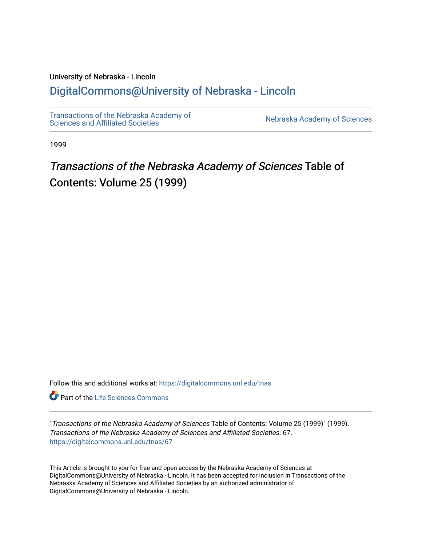### University of Nebraska - Lincoln

# [DigitalCommons@University of Nebraska - Lincoln](https://digitalcommons.unl.edu/)

[Transactions of the Nebraska Academy of](https://digitalcommons.unl.edu/tnas)  Transactions of the Nebraska Academy of Sciences<br>Sciences and Affiliated Societies

1999

# Transactions of the Nebraska Academy of Sciences Table of Contents: Volume 25 (1999)

Follow this and additional works at: [https://digitalcommons.unl.edu/tnas](https://digitalcommons.unl.edu/tnas?utm_source=digitalcommons.unl.edu%2Ftnas%2F67&utm_medium=PDF&utm_campaign=PDFCoverPages) 

**C** Part of the Life Sciences Commons

"Transactions of the Nebraska Academy of Sciences Table of Contents: Volume 25 (1999)" (1999). Transactions of the Nebraska Academy of Sciences and Affiliated Societies. 67. [https://digitalcommons.unl.edu/tnas/67](https://digitalcommons.unl.edu/tnas/67?utm_source=digitalcommons.unl.edu%2Ftnas%2F67&utm_medium=PDF&utm_campaign=PDFCoverPages)

This Article is brought to you for free and open access by the Nebraska Academy of Sciences at DigitalCommons@University of Nebraska - Lincoln. It has been accepted for inclusion in Transactions of the Nebraska Academy of Sciences and Affiliated Societies by an authorized administrator of DigitalCommons@University of Nebraska - Lincoln.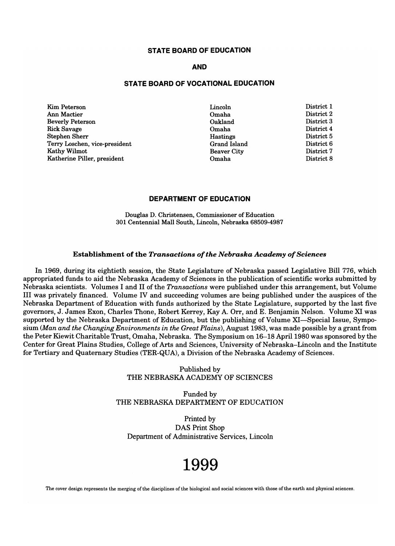#### **STATE BOARD OF EDUCATION**

#### **AND**

#### **STATE BOARD OF VOCATIONAL EDUCATION**

Kim Peterson Ann Mactier Beverly Peterson Rick Savage Stephen Sherr Terry Loschen, vice-president Kathy Wilmot Katherine Piller, president

Lincoln Omaha Oakland Omaha Hastings Grand Island Beaver City Omaha

District 1 District 2 District 3 District 4 District 5 District 6 District 7 District 8

#### **DEPARTMENT OF EDUCATION**

Douglas D. Christensen, Commissioner of Education 301 Centennial Mall South, Lincoln, Nebraska 68509-4987

#### Establishment of the *Transactions* of *the Nebraska Academy* of *Sciences*

In 1969, during its eightieth session, the State Legislature of Nebraska passed Legislative Bill 776, which appropriated funds to eightleth session, the State Legislature of Nebraska passed Legislative Dill (10, which<br>Clientific works submitted by appropriated funds to aid the Nebraska Academy of Sciences in the publication of scientific works submitted by<br>Nebraska scientists. Volumes I and II of the *Transactions* were published under this arrangement, but Volume III was privately financed. Volume IV and succeeding volumes are being published under the auspices of the Nebraska Department of Education with funds authorized by the State Legislature, supported by the last five governors, J. James Exon, Charles Thone, Robert Kerrey, Kay A. Orr, and E. Benjamin Nelson. Volume XI was supported by the Nebraska Department of Education, but the publishing of Volume XI-Special Issue, Symposium *(Man and the Changing Environments in the Great Plains),* August 1983, was made possible by a grant from the Peter Kiewit Charitable Trust, Omaha, Nebraska. The Symposium on 16-18 April 1980 was sponsored by the Center for Great Plains Studies, College of Arts and Sciences, University of Nebraska-Lincoln and the Institute for Tertiary and Quaternary Studies (TER-QUA), a Division of the Nebraska Academy of Sciences.

> Published by THE NEBRASKA ACADEMY OF SCIENCES

Funded by THE NEBRASKA DEPARTMENT OF EDUCATION

Printed by DAS Print Shop Department of Administrative Services, Lincoln

# **1999**

The cover design represents the merging of the disciplines of the biological and social sciences with those of the earth and physical sciences.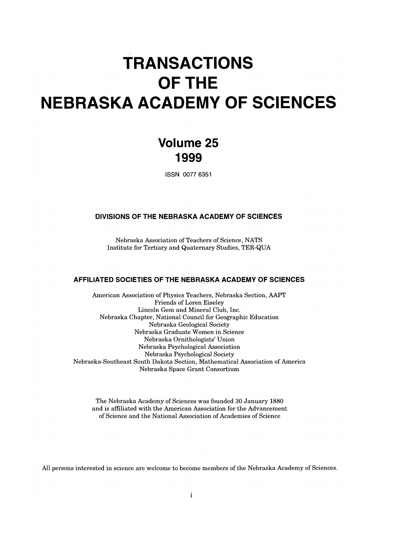# **TRANSACTIONS OFTHE NEBRASKA ACADEMY OF SCIENCES**

# **Volume 25 1999**

ISSN 0077 6351

#### **DIVISIONS OF THE NEBRASKA ACADEMY OF SCIENCES**

 $N = N + N$  associated of  $\overline{N}$  as  $\overline{N}$ INSTITUTE FOR THE TERRIFIC STUDIES, THE TERRIFIC STUDIES, THE TERRIFIC STUDIES, THE TERRIFIC STUDIES, THE TERRIFIC STUDIES, THE TERRIFIC STUDIES, THE TERRIFIC STUDIES, THE TERRIFIC STUDIES, THE TERRIFIC STUDIES, THE TERRIF

#### **AFFILIATED SOCIETIES OF THE NEBRASKA ACADEMY OF SCIENCES**

American Association of Physics Teachers, Nebraska Section, AAPT Figures 1980 and Figures, International Either Eithelman Eithelman Eithelman Eithelman Eithelman Eithelman Eit<br>Lorent Eithelman Eithelman Eithelman Eithelman Eithelman Eithelman Eithelman Eithelman Eithelman Eithelman Eit Friends of Loren Eiseley<br>Lincoln Gem and Mineral Club, Inc. nebraska Chapter, National Council for Geographic Education<br>
The Council for Geographic Education National Council for Geography Nebraska Graduate Women in Science  $\frac{1}{100}$  aska Graduate women in Science Nebraska Ormunologists Union Nebraska Psychological Association<br>Nebraska Psychological Society Nebraska-Fsychological Society<br>  $\begin{bmatrix} 1 & 1 & 0 & 1 \\ 0 & 1 & 0 & 0 \\ 0 & 0 & 0 & 0 \\ 0 & 0 & 0 & 0 \end{bmatrix}$ In Dakota Section, Mathematical As

 $T_{\text{c}}$  and  $T_{\text{c}}$  and  $T_{\text{c}}$  and  $T_{\text{c}}$  and  $T_{\text{c}}$  and  $T_{\text{c}}$  and  $T_{\text{c}}$  and  $T_{\text{c}}$  and  $T_{\text{c}}$  and  $T_{\text{c}}$  and  $T_{\text{c}}$  and  $T_{\text{c}}$  and  $T_{\text{c}}$  and  $T_{\text{c}}$  and  $T_{\text{c}}$  and  $T_{\text{c}}$  a The is affiliated with the American Association for the Advancement of the Advancement of the Advancement of the Advancement of the Advancement of the Advancement of the Advancement of the Advancement of the Advancement o and is affiliated with the American Association for the Advancement<br>of Science and the National Association of Academies of Science

All persons interested in science are welcome to become members of the Nebraska Academy of Sciences.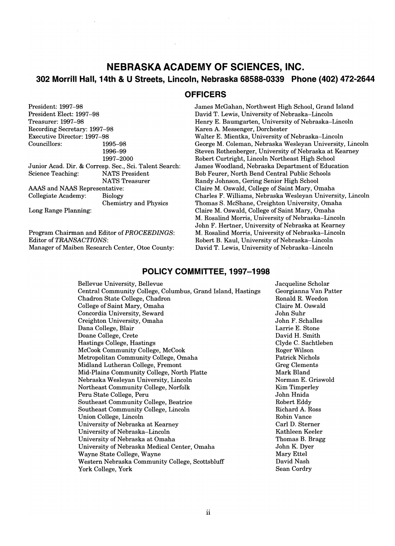# **NEBRASKA ACADEMY OF SCIENCES, INC. 302 Morrill Hall, 14th & U Streets, Lincoln, Nebraska 68588-0339 Phone (402) 472-2644**

**OFFICERS** 

President: 1997-98 President Elect: 1997-98 Treasurer: 1997-98 easurer. 1991–90<br>cording Secretary: 1997-98 ecorumg Secretary. 1997-98 Executive Director: 1997–98<br>Councillors: 1995–98 1996-99 1997-2000  $1991 - 2000$ <br>Junior Acad. Dir. & Gorresp. Sec., Sci. Talent Search:  $S_{\text{S}}$  Science Teaching:  $\alpha$  Corresp. Sec., Sci. Talent NATS President<br>NATS Treasurer AAS and AAAS Trees and NATS Trees  $R_{\text{A}}$  and NAAS Representative. Chemistry and Physics Long Range Planning:

Program Chairman and Editor of *PROCEEDINGS:*  Editor of *TRANSACTIONS:*  Manager of Maiben Research Center, Otoe County: James McGahan, Northwest High School, Grand Island David T. Lewis, University of Nebraska-Lincoln Henry E. Baumgarten, University of Nebraska-Lincoln Karen A. Messenger, Dorchester Walter E. Mientka, University of Nebraska-Lincoln George M. Coleman, Nebraska Wesleyan University, Lincoln Steven Rothenberger, University of Nebraska at Kearney Robert Curtright, Lincoln Northeast High School James Woodland, Nebraska Department of Education Bob Feurer, North Bend Central Public Schools Randy Johnson, Gering Senior High School Claire M. Oswald, College of Saint Mary, Omaha Charles F. Williams, Nebraska Wesleyan University, Lincoln Thomas S. McShane, Creighton University, Omaha nomas S. McShane, Creignion University, Omaha Claire M. Oswald, College of Saint Mary, Omaha<br>M. Rosalind Morris, University of Nebraska–Lincoln John F. Hertner, University of Nebraska at Kearney M. Rosalind Morris, University of Nebraska-Lincoln Robert B. Kaul, University of Nebraska-Lincoln David T. Lewis, University of Nebraska-Lincoln

#### **POLICY COMMITTEE, 1997-1998**

| Bellevue University, Bellevue                               |  |  |
|-------------------------------------------------------------|--|--|
| Central Community College, Columbus, Grand Island, Hastings |  |  |
| Chadron State College, Chadron                              |  |  |
| College of Saint Mary, Omaha                                |  |  |
| Concordia University, Seward                                |  |  |
| Creighton University, Omaha                                 |  |  |
| Dana College, Blair                                         |  |  |
| Doane College, Crete                                        |  |  |
| Hastings College, Hastings                                  |  |  |
| McCook Community College, McCook                            |  |  |
| Metropolitan Community College, Omaha                       |  |  |
| Midland Lutheran College, Fremont                           |  |  |
| Mid-Plains Community College, North Platte                  |  |  |
| Nebraska Wesleyan University, Lincoln                       |  |  |
| Northeast Community College, Norfolk                        |  |  |
| Peru State College, Peru                                    |  |  |
| Southeast Community College, Beatrice                       |  |  |
| Southeast Community College, Lincoln                        |  |  |
| Union College, Lincoln                                      |  |  |
| University of Nebraska at Kearney                           |  |  |
| University of Nebraska–Lincoln                              |  |  |
| University of Nebraska at Omaha                             |  |  |
| University of Nebraska Medical Center, Omaha                |  |  |
| Wayne State College, Wayne                                  |  |  |
| Western Nebraska Community College, Scottsbluff             |  |  |
| York College, York                                          |  |  |

Jacqueline Scholar Georgianna Van Patter eorgianna van Fau<br>....11 D. W. ..1... Ronald R. Weedon Claire M. Oswald<br>John Suhr John F. Schalles Larrie E. Stone David H. Smith  $\begin{bmatrix} 1 & 0 & 0 \\ 0 & 1 & 1 \end{bmatrix}$ roge U. Sachtr Roger Wilson<br>Patrick Nichols attick inichuis reg Clements<br>Calculus ark bianu<br>Norman E. Grissold orman E. Grisw<br>... m: Kim Timperley<br>John Hnida Robert Eddy Richard Budgett<br>Richard A. Ross charu A. Nos<br>Julio Va Robin Vance<br>Carl D. Sterner Kathleen Keeler atmeen Neefer<br>Drach lomas D. Drag<br>J. F. D John K. Dyer<br>Mary Ettel ary Etter<br>...: J Mark  $\alpha$   $\alpha$   $\beta$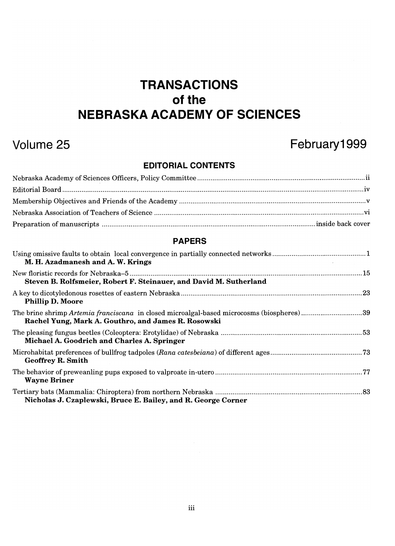# **TRANSACTIONS**  of the **NEBRASKA ACADEMY OF SCIENCES**

# **Volume 25 February1999**

# **EDITORIAL CONTENTS**

### **PAPERS**

| M. H. Azadmanesh and A. W. Krings                                                                                                                |  |
|--------------------------------------------------------------------------------------------------------------------------------------------------|--|
| Steven B. Rolfsmeier, Robert F. Steinauer, and David M. Sutherland                                                                               |  |
| <b>Phillip D. Moore</b>                                                                                                                          |  |
| The brine shrimp Artemia franciscana in closed microalgal-based microcosms (biospheres)39<br>Rachel Yung, Mark A. Gouthro, and James R. Rosowski |  |
| Michael A. Goodrich and Charles A. Springer                                                                                                      |  |
| <b>Geoffrey R. Smith</b>                                                                                                                         |  |
| <b>Wayne Briner</b>                                                                                                                              |  |
| Nicholas J. Czaplewski, Bruce E. Bailey, and R. George Corner                                                                                    |  |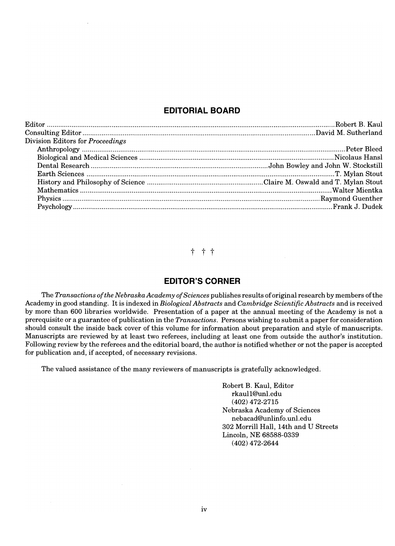### **EDITORIAL BOARD**

| Division Editors for Proceedings |  |
|----------------------------------|--|
|                                  |  |
|                                  |  |
|                                  |  |
|                                  |  |
|                                  |  |
|                                  |  |
|                                  |  |
|                                  |  |
|                                  |  |

t t t

#### **EDITOR'S CORNER**

The *Transactions of the Nebraska Academy of Sciences* publishes results of original research by members ofthe Academy in good standing. It is indexed in *Biological Abstracts* and *Cambridge Scientific Abstracts* and is received Academy in good standing. It is indexed in *Biological Abstracts* and *Cambridge Scientific Abstracts* and is received<br>by more than 600 libraries worldwide. Presentation of a paper at the annual meeting of the Academy is n prerequisite or a guarantee of publication in the *Transactions.* Persons wishing to submit a paper for consideration should consult the inside back cover of this volume for information about preparation and style of manuscripts. Manuscripts are reviewed by at least two referees, including at least one from outside the author's institution. Manuscripts are reviewed by at least two referees, including at least one from outside the author's institution.<br>Following review by the referees and the editorial board, the author is notified whether or not the paper is for publication and, if accepted, of necessary revisions.

The valued assistance of the many reviewers of manuscripts is gratefully acknowledged.

 $\det B$ .  $K_{\text{end}}$ . Editor rt D. Raul, Eult<br>....11@unl.edu (402) 472-2715 Nebraska Academy of Sciences nebacad@Unlinfo.unl.edu 302 Morrill Hall, 14th and U Streets Lincoln, NE 68588-0339 (402) 472-2644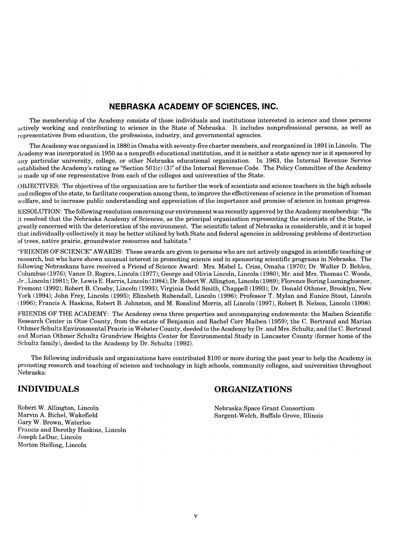### **NEBRASKA ACADEMY OF SCIENCES, INC.**

The membership of the Academy consists of those individuals and institutions interested in science and those persons The membership of the Academy consists of those individuals and institutions interested in science and those persons actively working and contributing to science in the State of Nebraska. It includes nonprofessional persons, as well as representatives from education, the professions, industry, and governmental agencies.

The Academy was organized in 1880 in Omaha with seventy-five charter members, and reorganized in 1891 in Lincoln. The Academy was incorporated in 1950 as a nonprofit educational institution, and it is neither a state agency nor is it sponsored by ademy was incorporated in 1950 as a nonprofit educational institution, and it is neither a state agency more B revenue Service established the Academy's ratio of the Academy of the Academy of the Internal Revenue Service Code. The Policy established the Academy's rating as "Section  $501(c)$  (3)" of the Internal Revenue Code. The Policy Committee of the Academy is made up of one representative from each of the colleges and universities of the State.

OBJECTIVES: The objectives of the organization are to further the work of scientists and science teachers in the high schools and colleges of the state, to facilitate cooperation among them, to improve the effectiveness of science in the promotion of human welfare, and to increase public understanding and appreciation of the importance and promise of science in human progress.

RESOLUTION: The following resolution concerning our environment was recently approved by the Academy membership: "Be  $i$  resolved that the Nebraska Academy of Sciences are primed that the second  $i$  as the science of the Academy membership: be  $i$ it resolved that the Nebraska Academy of Sciences, as the principal organization representing the scientists of the State, is greatly concerned with the deterioration of the environment. The scientific talent of Nebraska is considerable, and it is hoped that individually-collectively it may be better utilized by both State and federal agencies in addressing problems of destruction<br>of trees, native prairie, groundwater resources and habitats."

 $\mathbf{F}$  from  $\mathbf{F}$  are given to persons who are not are not actively engaged in scientific teaching or persons who are not actively engaged in scientific teaching or actively engaged in scientific teaching or  $\mathbf{F}$ research, but who have shown under the search interest in provided in several interest in the programs of  $\frac{1}{N}$ research, but who have shown unusual interest in promoting science and in sponsoring scientific programs in Nebraska. The following Nebraskans have received a Friend of Science Award: Mrs. Mabel L. Criss, Omaha (1970); Dr. Walter D. Behlen, Columbus (1976); Vance D. Rogers, Lincoln (1977); George and Olivia Lincoln, Lincoln (1980); Mr. and Mrs. Thomas C. Woods, Jr., Lincoln (1981); Dr. Lewis E. Harris, Lincoln (1984); Dr. Robert W. Allington, Lincoln (1989); Florence Boring Lueninghoener, Fremont (1992); Robert B. Crosby, Lincoln (1993); Virginia Dodd Smith, Chappell (1993); Dr. Donald Othmer, Brooklyn, New<br>York (1994); John Frey, Lincoln (1995); Elizabeth Rubendall, Lincoln (1996); Professor T. Mylan and E (1996); Francis A. Haskins, Robert B. Johnston, and M. Rosalind Morris, all Lincoln (1997), Robert B. Nelson, Lincoln (1998).

FRIENDS OF THE ACADEMY: The Academy of Academy of Properties and accompanying endowments: the Maiben Scientific  $R$ extern Center in Otom the estate of Benjamin and Rachel Companying endowments; the Maiben Scientific Research Center in Otoe County, from the estate of Benjamin and Rachel Corr Maiben (1959); the C. Bertrand and Marian Othmer Schultz Environmental Prairie in Webster County, deeded to the Academy by Dr. and Mrs. Schultz; and the C. Bertrand and Marian Othmer Schultz Grandview Heights Center for Environmental Study in Lancaster County (former home of the Schultz family), deeded to the Academy by Dr. Schultz (1992).

The following individuals and organizations have contributed \$100 or more during the past year to help the Academy in promoting individuals and organizations have contributed \$100 or more during the past year to help the Academy in promoting research and teaching of science and technology in high schools, community colleges, and universities throughout Nebraska:

# **INDIVIDUALS**

 $R = \frac{1}{2}$  $\frac{M}{2}$  Marvin A. Bichel, W. 1.  $\alpha$  1.1. Marvin A. Bichel, Wakefield<br>Gary W. Brown, Waterloo ary w. brown, waterioo ancis and Dorothy Has Joseph LeDuc, Lincoln<br>Morton Stelling, Lincoln

# **ORGANIZATIONS**

Nebraska Space Grant Consortium Sargent-Welch, Buffalo Grove, Illinois